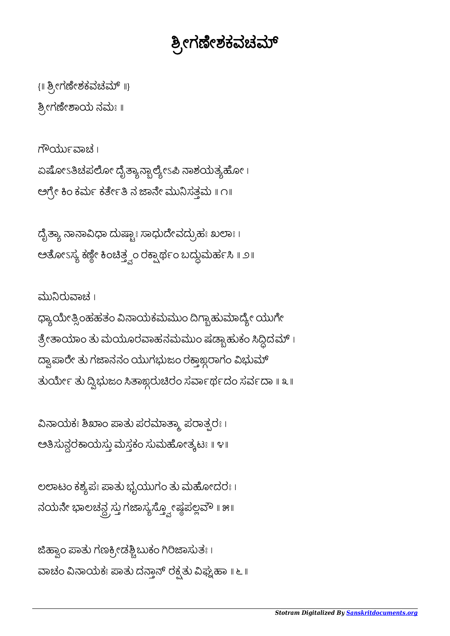## ಶ್ರೀಗಣೇಶಕವಚಮ್

{॥ ಶ್ರೀಗಣೇಶಕವಚಮ್ ॥} ೕಗೇಾಯ ನಮಃ ॥

ಗೌರ್ಯುವಾಚ । ಏಷೋಽತಿಚಪಲೋ ದೈತ್ಯಾನ್ಬಾಲ್ಯೇಽಪಿ ನಾಶಯತ್ಯಹೋ । ಅಗ್ರೇ ಕಿಂ ಕರ್ಮೆ ಕರ್ತೇತಿ ನ ಜಾನೇ ಮುನಿಸತ್ತಮ ॥ ೧॥

ದೈತ್ಯಾ ನಾನಾವಿಧಾ ದುಷ್ಚಾಃ ಸಾಧುದೇವದ್ರುಹಃ ಖಲಾಃ । ಅೋಽಸ ಕೇ ಂತಂ ರಾಥಂ ಬದುಮಹ ॥ ೨॥

ಮುರುಾಚ । ಧ್ಯಾಯೇತ್ಸಿಂಹಹತಂ ವಿನಾಯಕಮಮುಂ ದಿಗ್ಬಾಹುಮಾದ್ಯೇ ಯುಗೇ ತ್ರೇತಾಯಾಂ ತು ಮಯೂರವಾಹನಮಮುಂ ಷಡ್ಬಾಹುಕಂ ಸಿದ್ಧಿದಮ್ । ದ್ವಾಪಾರೇ ತು ಗಜಾನನಂ ಯುಗಭುಜಂ ರಕ್ತಾಜ್ದರಾಗಂ ವಿಭುಮ್ ತುರ್ಯೀ ತು ದ್ವಿಭುಜಂ ಸಿತಾಙ್ಗರುಚಿರಂ ಸರ್ವಾರ್ಥದಂ ಸರ್ವದಾ ॥ ೩ ॥

ವಿನಾಯಕಃ ಶಿಖಾಂ ಪಾತು ಪರಮಾತ್ಮಾ ಪರಾತ್ಪರಃ । ಅಸುನರಾಯಸು ಮಸಕಂ ಸುಮೋತಟಃ ॥ ೪॥

ಲಲಾಟಂ ಕಶ್ಯಪಃ ಪಾತು ಭೃಯುಗಂ ತು ಮಹೋದರಃ। ನಯನೇ ಭಾಲಚನ್ದ ಸ್ತು ಗಜಾಸ್ಯಸ್ತ್ವೋಷ್ಠಪಲ್ಲವೌ ॥ ೫॥

ಜಿಹ್ವಾಂ ಪಾತು ಗಣಕ್ರೀಡಶ್ಚಿಬುಕಂ ಗಿರಿಜಾಸುತಃ । ವಾಚಂ ವಿನಾಯಕಃ ಪಾತು ದನ್ತಾನ್ ರಕ್ಷತು ವಿಘ್ನಹಾ ॥ ೬ ॥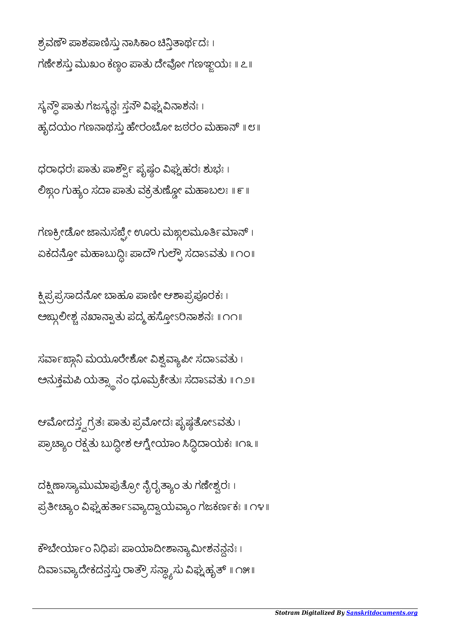ಕೌಬೇರ್ಯಾಂ ನಿಧಿಪಃ ಪಾಯಾದೀಶಾನ್ಯಾಮೀಶನನ್ಗನಃ । ದಿವಾಽವ್ಯಾದೇಕದನ್ತಸ್ತು ರಾತ್ರೌ ಸನ್ದ್ಯಾಸು ವಿಘ್ನಹೃತ್ ॥ ೧೫॥

ದಕ್ಷಿಣಾಸ್ಯಾಮುಮಾಪುತ್ರೋ ನೈರೃತ್ಯಾಂ ತು ಗಣೇಶ್ವರಃ। ಫ್ರತೀಚ್ಯಾಂ ವಿಘ್ನಹರ್ತಾಽವ್ಯಾದ್ವಾಯವ್ಯಾಂ ಗಜಕರ್ಣಕಃ ॥ ೧೪॥

ಆಮೋದಸ್ತ್ವಗ್ರತಃ ಪಾತು ಪ್ರಮೋದಃ ಪೃಷ್ಠತೋಽವತು । ಪ್ರಾಚ್ಯಾಂ ರಕ್ಷ್ಮತು ಬುದ್ದೀಶ ಆಗ್ನೇಯಾಂ ಸಿದ್ದಿದಾಯಕಃ ॥೧೩॥

ಸರ್ವಾಙ್ಗಾನಿ ಮಯೂರೇಶೋ ವಿಶ್ವವ್ಯಾಪೀ ಸದಾಽವತು ၊ ಅನುಕ್ತಮಪಿ ಯತ್ಸ್ಥಾನಂ ಧೂಮ್ರಕೇತುಃ ಸದಾಽವತು ॥ ೧೨॥

ಕ್ಷಿಪ್ರಪ್ರಸಾದನೋ ಬಾಹೂ ಪಾಣೀ ಆಶಾಪ್ರಪೂರಕಃ । ಅಙ್ದುಲೀಶ್ವ ನಖಾನ್ಪಾತು ಪದ್ಮ ಹಸ್ತೋಽರಿನಾಶನಃ ॥ ೧೧॥

ಗಣಕ್ರೀಡೋ ಜಾನುಸರ್ಜ್ಫೇ ಊರು ಮಙ್ಗಲಮೂರ್ತಿಮಾನ್ । ಏಕದನ್ತೋ ಮಹಾಬುದ್ದಿಃ ಪಾದೌ ಗುಲ್ಫೌ ಸದಾಽವತು ॥ ೧೦॥

ಧರಾಧರಃ ಪಾತು ಪಾರ್ಶ್ವೌ ಪೃಷ್ಣಂ ವಿಘ್ನಹರಃ ಶುಭಃ । ಲಿಜ್ಗಂ ಗುಹ್ಯಂ ಸದಾ ಪಾತು ವಕ್ರತುಣ್ಣೋ ಮಹಾಬಲಃ ॥ ೯ ॥

ಸ್ಯನ್ಗೌ ಪಾತು ಗಜಸ್ಯನ್ದಃ ಸ್ತನೌ ವಿಘ್ನವಿನಾಶನಃ । ಹೃದಯಂ ಗಣನಾಥಸ್ತು ಹೇರಂಬೋ ಜಠರಂ ಮಹಾನ್ ॥ ೮॥

ಶ್ರವಣೌ ಪಾಶಪಾಣಿಸ್ತು ನಾಸಿಕಾಂ ಚಿನ್ತಿತಾರ್ಥದಃ । ಗಣೇಶಸ್ತು ಮುಖಂ ಕಣ್ಗಂ ಪಾತು ದೇವೋ ಗಣಞ್ಜಯಃ ॥ ೭॥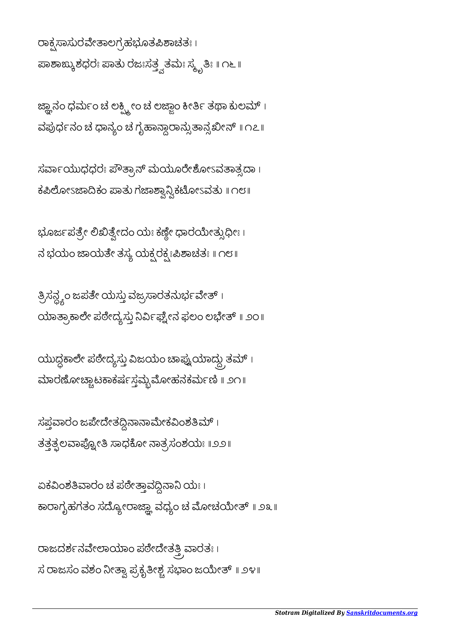ರಾಕ್ಷಸಾಸುರವೇತಾಲಗ್ರಹಭೂತಪಿಶಾಚತಃ । ಪಾಶಾಙ್ಕುಶಧರಃ ಪಾತು ರಜಃಸತ್ತ್ವತಮಃ ಸ್ಮೃತಿಃ ॥ ೧೬ ॥

ಜ್ಞಾನಂ ಧರ್ಮಂ ಚ ಲಕ್ಷ್ಮೀಂ ಚ ಲಜ್ಜಾಂ ಕೀರ್ತಿ ತಥಾ ಕುಲಮ್ । ವಪುರ್ಧನಂ ಚ ಧಾನ್ಯಂ ಚ ಗೃಹಾನ್ದಾರಾನ್ಸುತಾನ್ಸಖೀನ್ ॥ ೧೭॥

ಸರ್ವಾಯುಧಧರಃ ಪೌತ್ರಾನ್ ಮಯೂರೇಶೋಽವತಾತ್ಸದಾ। ಕಪಿಲೋಽಜಾದಿಕಂ ಪಾತು ಗಜಾಶ್ವಾನ್ವಿಕಟೋಽವತು ॥ ೧೮॥

ಭೂರ್ಜಪತ್ರೇ ಲಿಖಿತ್ವೇದಂ ಯಃ ಕಣ್ಣೀ ಧಾರಯೇತ್ಸುಧೀಃ । ನ ಭಯಂ ಜಾಯತೇ ತಸ್ಯ ಯಕ್ಷರಕ್ಷಃಪಿಶಾಚತಃ ॥ ೧೮॥

ತ್ರಿಸನ್ಲ್ಯಂ ಜಪತೇ ಯಸ್ತು ವಜ್ರಸಾರತನುರ್ಭವೇತ್ । ಯಾತ್ರಾಕಾಲೇ ಪಠೇದ್ಯಸ್ತು ನಿರ್ವಿಫ್ನೇನ ಫಲಂ ಲಭೇತ್ ॥ ೨೦॥

ಯುದ್ದಕಾಲೇ ಪಠೇದ್ಯಸ್ತು ವಿಜಯಂ ಚಾಪ್ನುಯಾದ್ದು ತಮ್ । ಮಾರಣೋಚ್ಚಾಟಕಾಕರ್ಷಸ್ತಮ್ಬಮೋಹನಕರ್ಮಣಿ ॥ ೨೧॥

ಸಪ್ತವಾರಂ ಜಪೇದೇತದ್ದಿನಾನಾಮೇಕವಿಂಶತಿಮ್ । ತತ್ತತ್ಪಲವಾಪ್ನೋತಿ ಸಾಧಕೋ ನಾತ್ರಸಂಶಯಃ ॥೨೨॥

ಏಕವಿಂಶತಿವಾರಂ ಚ ಪಠೇತ್ತಾವದ್ದಿನಾನಿ ಯಃ । ಕಾರಾಗೃಹಗತಂ ಸದ್ಯೋರಾಜ್ಞಾ ವಧ್ಯಂ ಚ ಮೋಚಯೇತ್ ॥ ೨೩ ॥

ರಾಜದರ್ಶನವೇಲಾಯಾಂ ಪಠೇದೇತತ್ತಿ ವಾರತಃ । ಸ ರಾಜಸಂ ವಶಂ ನೀತ್ವಾ ಪ್ರಕೃತೀಶ್ಚ ಸಭಾಂ ಜಯೇತ್ ॥ ೨೪॥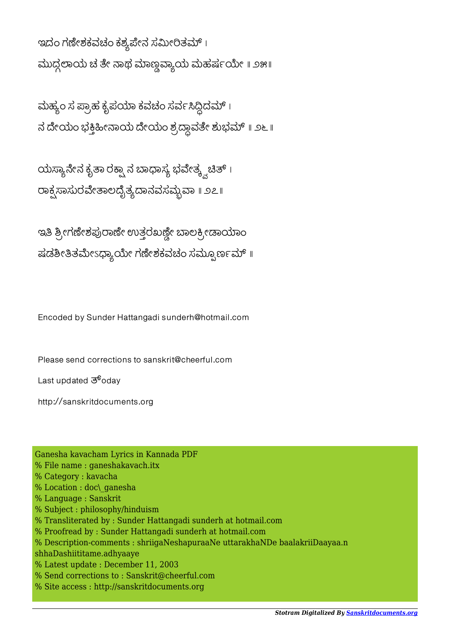ಇದಂ ಗಣೇಶಕವಚಂ ಕಶ್ಯಪೇನ ಸಮೀರಿತಮ್ । ಮುದ್ದಲಾಯ ಚ ತೇ ನಾಥ ಮಾಣ್ಣವ್ಯಾಯ ಮಹರ್ಷಯೇ ॥ ೨೫॥

ಮಹ್ಯಂ ಸ ಪ್ರಾಹ ಕೃಪಯಾ ಕವಚಂ ಸರ್ವಸಿದ್ದಿದಮ್ । ನ ದೇಯಂ ಭಕ್ತಿಹೀನಾಯ ದೇಯಂ ಶ್ರದ್ಧಾವತೇ ಶುಭಮ್ ॥ ೨೬॥

ಯಸ್ಯಾನೇನ ಕೃತಾ ರಕ್ಷ್ಸಾನ ಬಾಧಾಸ್ಯ ಭವೇತ್ಕ್ವಚಿತ್ । ರಾಕ್ಸಸಾಸುರವೇತಾಲದೈತ್ಯದಾನವಸಮ್ಬವಾ ॥ ೨೭॥

ಇತಿ ಶ್ರೀಗಣೇಶಪುರಾಣೇ ಉತ್ತರಖಣ್ಣೇ ಬಾಲಕ್ರೀಡಾಯಾಂ ಷಡಶೀತಿತಮೇಽಧ್ಯಾಯೇ ಗಣೇಶಕವಚಂ ಸಮ್ಪೂರ್ಣಮ್ ॥

Encoded by Sunder Hattangadi sunderh@hotmail.com

Please send corrections to sanskrit@cheerful.com

Last updated  $\overline{3}^6$ odav

http://sanskritdocuments.org

Ganesha kavacham Lyrics in Kannada PDF % File name : ganeshakavach.itx % Category : kavacha % Location : doc\ ganesha % Language : Sanskrit % Subject : philosophy/hinduism % Transliterated by : Sunder Hattangadi sunderh at hotmail.com % Proofread by : Sunder Hattangadi sunderh at hotmail.com % Description-comments : shriigaNeshapuraaNe uttarakhaNDe baalakriiDaayaa.n shhaDashiititame.adhyaaye % Latest update : December 11, 2003 % Send corrections to : Sanskrit@cheerful.com % Site access : http://sanskritdocuments.org